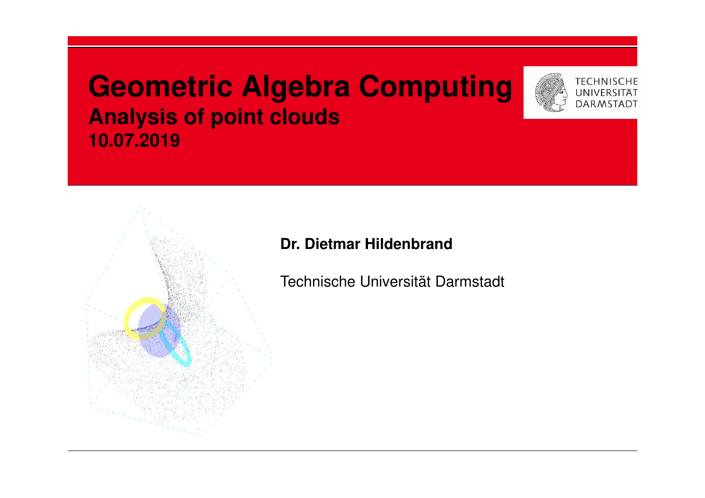# **Geometric Algebra Computing Analysis of point clouds10.07.2019**





#### **Dr. Dietmar Hildenbrand**

Technische Universität Darmstadt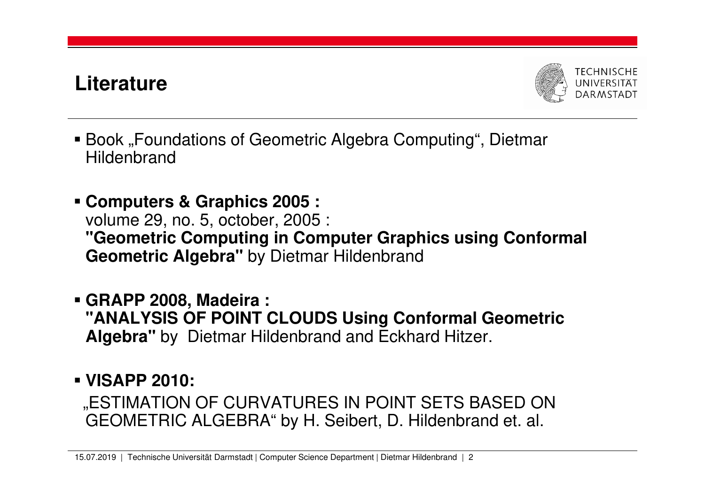# **Literature**



- Book "Foundations of Geometric Algebra Computing", Dietmar Hildenbrand
- **Computers & Graphics 2005 :** volume 29, no. 5, october, 2005 : **"Geometric Computing in Computer Graphics using Conformal Geometric Algebra"** by Dietmar Hildenbrand
- **GRAPP 2008, Madeira : "ANALYSIS OF POINT CLOUDS Using Conformal GeometricAlgebra"** by Dietmar Hildenbrand and Eckhard Hitzer.

**VISAPP 2010:**

"ESTIMATION OF CURVATURES IN POINT SETS BASED ON GEOMETRIC ALGEBRA" by H. Seibert, D. Hildenbrand et. al.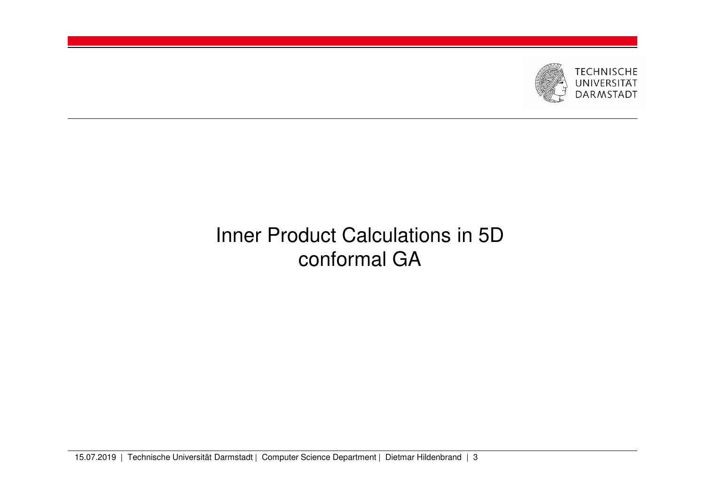

# Inner Product Calculations in 5D conformal GA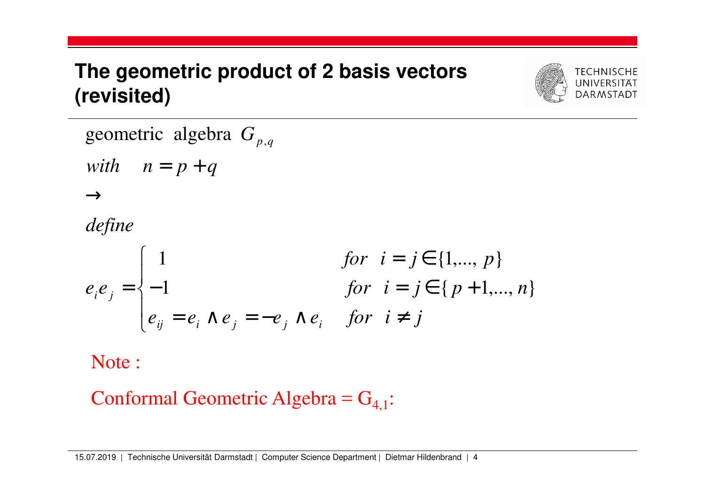# **The geometric product of 2 basis vectors(revisited)**



*G*geometric algebra  $G_{_{p,q}}$ 

 $with \quad n = p + q$ 

 $\longrightarrow$ 

*define*

$$
e_{i}e_{j} = \begin{cases} 1 & \text{for } i = j \in \{1, ..., p\} \\ -1 & \text{for } i = j \in \{p+1, ..., n\} \\ e_{ij} = e_{i} \wedge e_{j} = -e_{j} \wedge e_{i} & \text{for } i \neq j \end{cases}
$$

Note :

Conformal Geometric Algebra =  $G_{4,1}$ :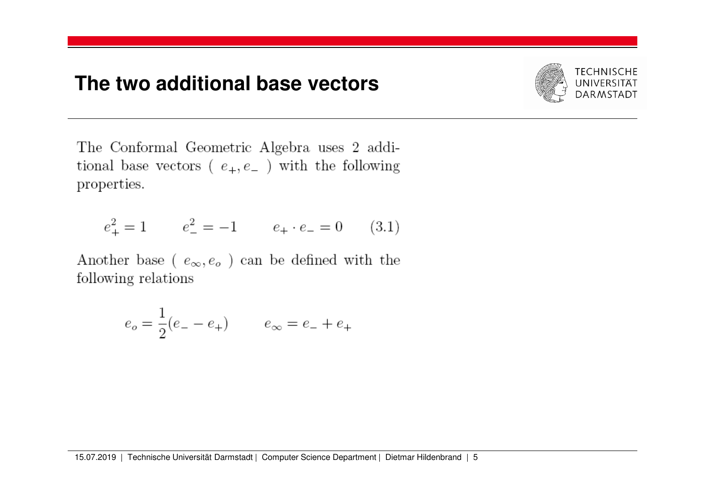#### **The two additional base vectors**



The Conformal Geometric Algebra uses 2 additional base vectors ( $e_+, e_-$ ) with the following properties.

$$
e_+^2 = 1 \qquad e_-^2 = -1 \qquad e_+ \cdot e_- = 0 \qquad (3.1)
$$

Another base (  $e_{\infty},e_o$  ) can be defined with the following relations

$$
e_o = \frac{1}{2}(e_- - e_+) \qquad \ \ e_\infty = e_- + e_+
$$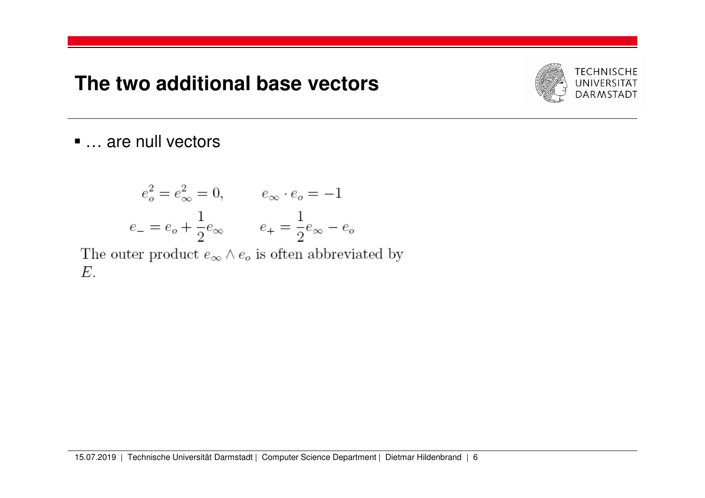#### **The two additional base vectors**



### ■ … are null vectors

$$
e_o^2 = e_\infty^2 = 0,
$$
  $e_\infty \cdot e_o = -1$   
 $e_- = e_o + \frac{1}{2} e_\infty$   $e_+ = \frac{1}{2} e_\infty - e_o$ 

The outer product  $e_{\infty} \wedge e_{o}$  is often abbreviated by  $E$ .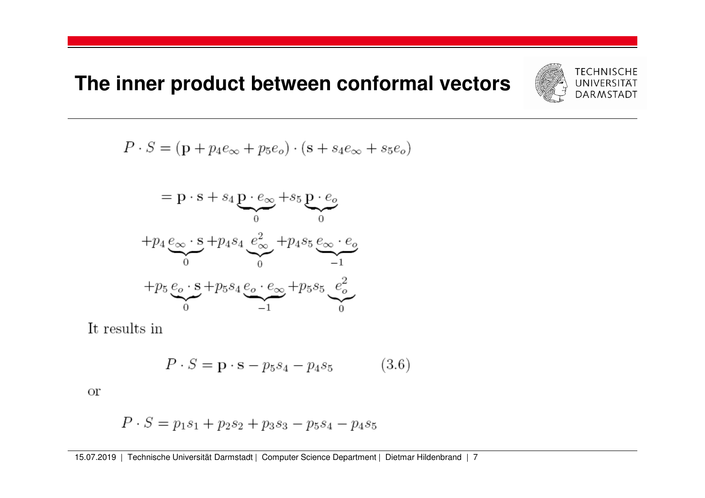# **The inner product between conformal vectors**



$$
P \cdot S = (\mathbf{p} + p_4 e_\infty + p_5 e_o) \cdot (\mathbf{s} + s_4 e_\infty + s_5 e_o)
$$

$$
= \mathbf{p} \cdot \mathbf{s} + s_4 \underbrace{\mathbf{p} \cdot e_{\infty}}_{0} + s_5 \underbrace{\mathbf{p} \cdot e_{o}}_{0}
$$

$$
+ p_4 \underbrace{e_{\infty} \cdot \mathbf{s}}_{0} + p_4 s_4 \underbrace{e_{\infty}^2}_{0} + p_4 s_5 \underbrace{e_{\infty} \cdot e_{o}}_{-1}
$$

$$
+ p_5 \underbrace{e_{o} \cdot \mathbf{s}}_{0} + p_5 s_4 \underbrace{e_{o} \cdot e_{\infty}}_{-1} + p_5 s_5 \underbrace{e_{o}^2}_{0}
$$

It results in

$$
P \cdot S = \mathbf{p} \cdot \mathbf{s} - p_5 s_4 - p_4 s_5 \tag{3.6}
$$

**or** 

$$
P \cdot S = p_1 s_1 + p_2 s_2 + p_3 s_3 - p_5 s_4 - p_4 s_5
$$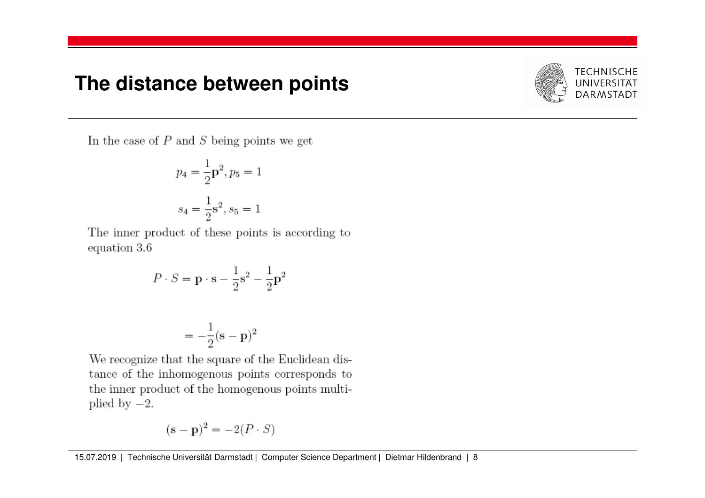#### **The distance between points**



In the case of  $P$  and  $S$  being points we get

$$
p_4 = \frac{1}{2}\mathbf{p}^2, p_5 = 1
$$

$$
s_4 = \frac{1}{2}\mathbf{s}^2, s_5 = 1
$$

The inner product of these points is according to equation 3.6

$$
P \cdot S = \mathbf{p} \cdot \mathbf{s} - \frac{1}{2} \mathbf{s}^2 - \frac{1}{2} \mathbf{p}^2
$$

$$
=-\frac{1}{2}(\mathbf{s}-\mathbf{p})^2
$$

We recognize that the square of the Euclidean distance of the inhomogenous points corresponds to the inner product of the homogenous points multiplied by  $-2$ .

$$
(\mathbf{s} - \mathbf{p})^2 = -2(P \cdot S)
$$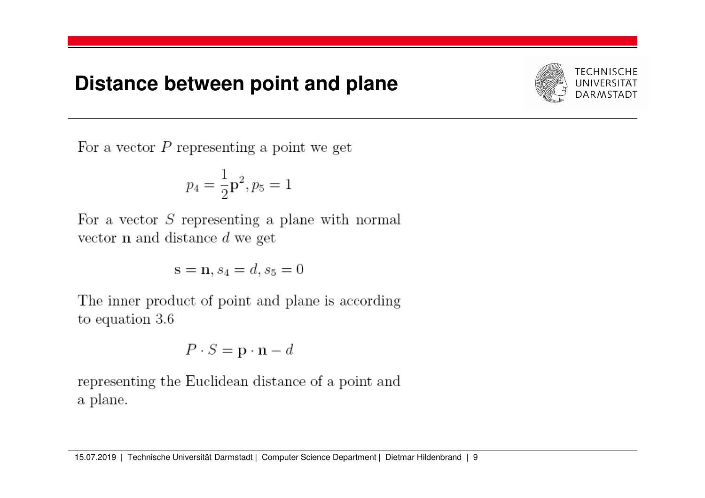#### **Distance between point and plane**



For a vector  $P$  representing a point we get

$$
p_4 = \frac{1}{2} \mathbf{p}^2, p_5 = 1
$$

For a vector  $S$  representing a plane with normal vector  $n$  and distance  $d$  we get

$$
\mathbf{s} = \mathbf{n}, s_4 = d, s_5 = 0
$$

The inner product of point and plane is according to equation 3.6

$$
P \cdot S = \mathbf{p} \cdot \mathbf{n} - d
$$

representing the Euclidean distance of a point and a plane.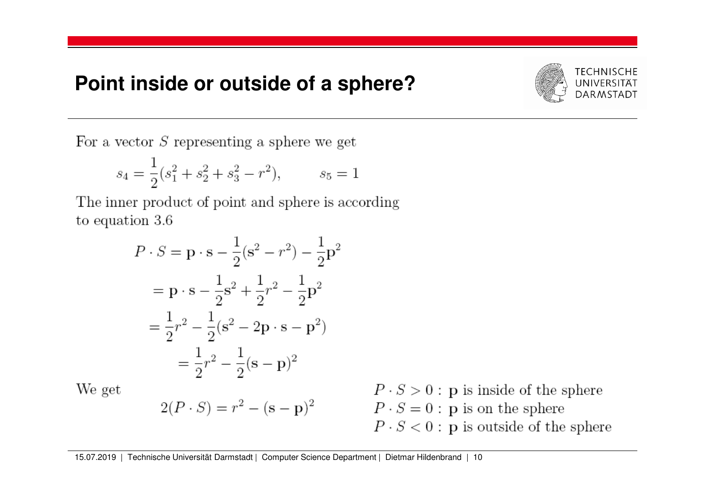#### **Point inside or outside of a sphere?**



For a vector  $S$  representing a sphere we get

$$
s_4 = \frac{1}{2}(s_1^2 + s_2^2 + s_3^2 - r^2), \qquad s_5 = 1
$$

The inner product of point and sphere is according to equation  $3.6$ 

$$
P \cdot S = \mathbf{p} \cdot \mathbf{s} - \frac{1}{2} (\mathbf{s}^2 - r^2) - \frac{1}{2} \mathbf{p}^2
$$
  
=  $\mathbf{p} \cdot \mathbf{s} - \frac{1}{2} \mathbf{s}^2 + \frac{1}{2} r^2 - \frac{1}{2} \mathbf{p}^2$   
=  $\frac{1}{2} r^2 - \frac{1}{2} (\mathbf{s}^2 - 2 \mathbf{p} \cdot \mathbf{s} - \mathbf{p}^2)$   
=  $\frac{1}{2} r^2 - \frac{1}{2} (\mathbf{s} - \mathbf{p})^2$ 

 $2(P \cdot S) = r^2 - (s - p)^2$ 

We get

$$
P \cdot S > 0
$$
: p is inside of the sphere  
 $P \cdot S = 0$ : p is on the sphere  
 $P \cdot S < 0$ : p is outside of the sphere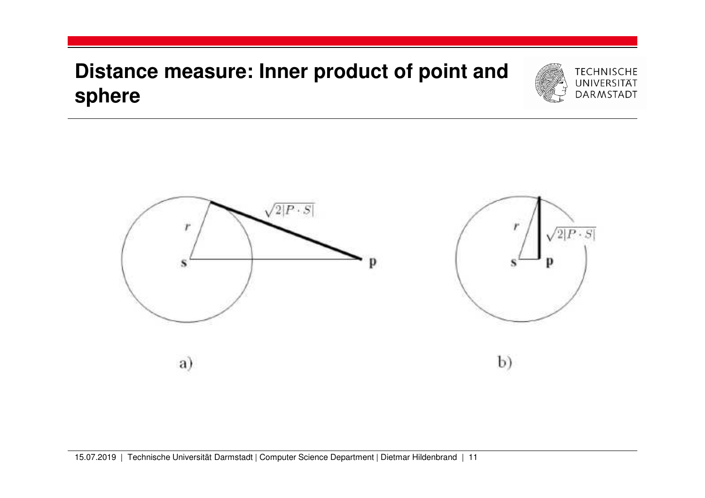# **Distance measure: Inner product of point and sphere**



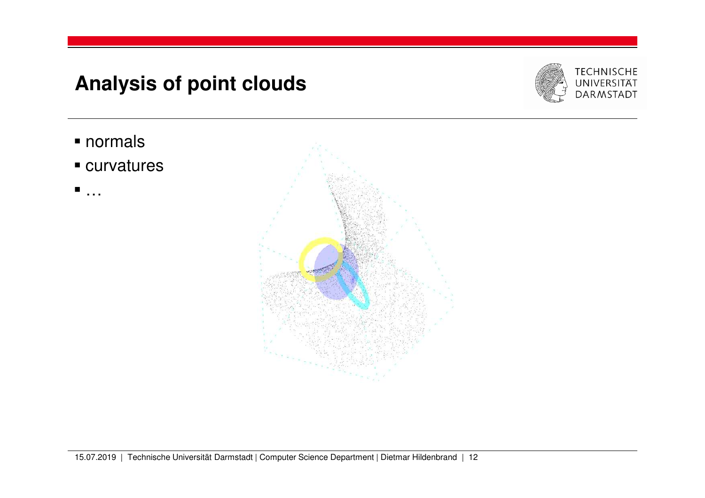# **Analysis of point clouds**



- normals
- curvatures
- …

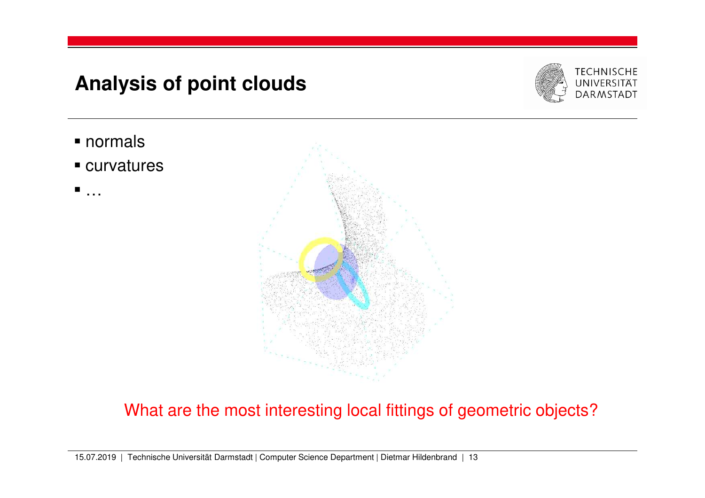# **Analysis of point clouds**



- normals
- curvatures
- …



#### What are the most interesting local fittings of geometric objects?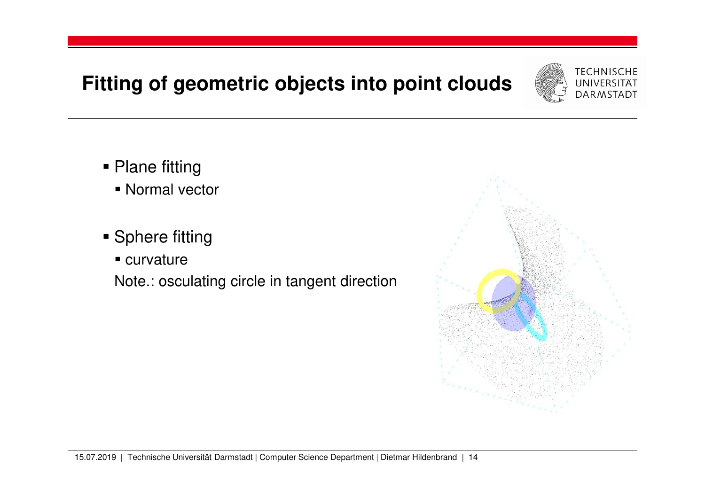# **Fitting of geometric objects into point clouds**



- Plane fitting
	- Normal vector
- Sphere fitting
	- curvature

Note.: osculating circle in tangent direction

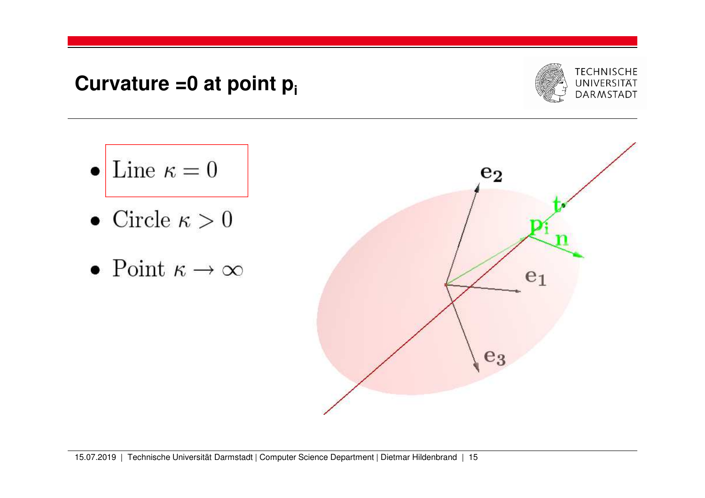**Curvature =0 at point pi**



- $\bullet$  Line  $\kappa = 0$
- Circle  $\kappa > 0$
- Point  $\kappa \to \infty$

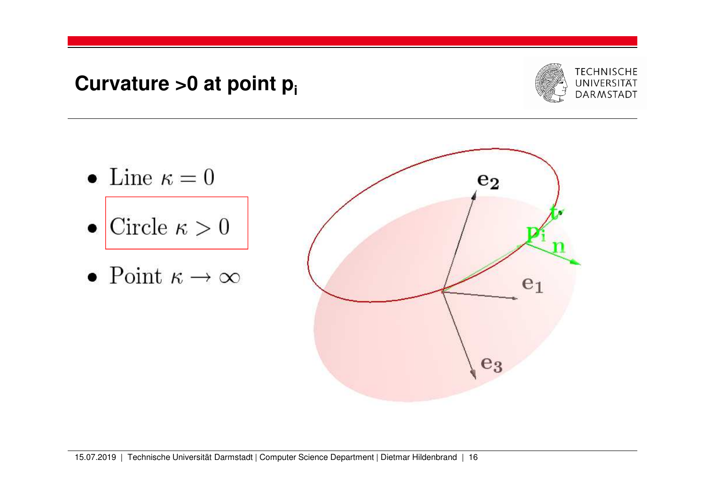# **Curvature >0 at point pi**



- Line  $\kappa = 0$
- $\bullet$  Circle  $\kappa > 0$
- Point  $\kappa \to \infty$

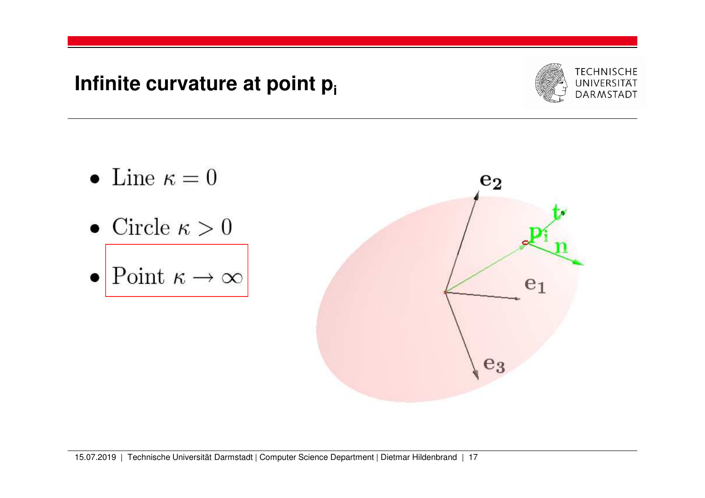## **Infinite curvature at point pi**



- Line  $\kappa = 0$
- Circle  $\kappa > 0$
- $\bullet$  Point  $\kappa \to \infty$

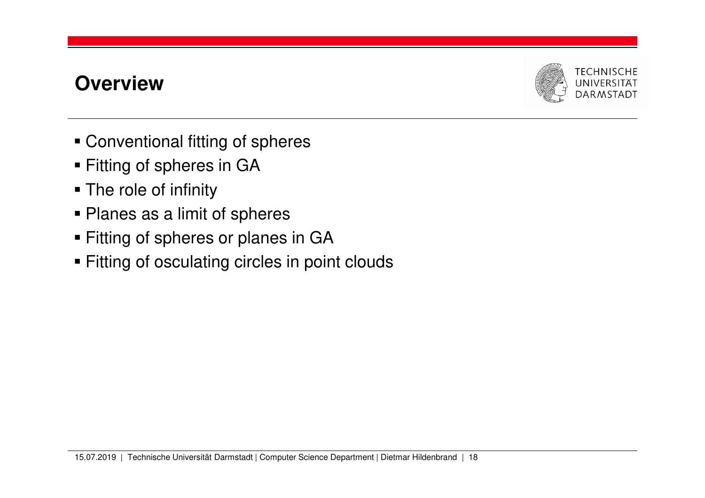## **Overview**



- Conventional fitting of spheres
- Fitting of spheres in GA
- The role of infinity
- Planes as a limit of spheres
- Fitting of spheres or planes in GA
- Fitting of osculating circles in point clouds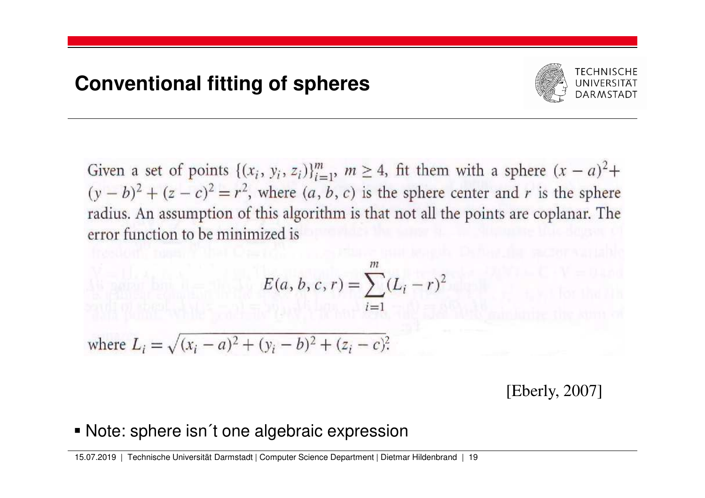

Given a set of points  $\{(x_i, y_i, z_i)\}_{i=1}^m$ ,  $m \ge 4$ , fit them with a sphere  $(x - a)^2$ +  $(y - b)^2 + (z - c)^2 = r^2$ , where  $(a, b, c)$  is the sphere center and r is the sphere radius. An assumption of this algorithm is that not all the points are coplanar. The error function to be minimized is

$$
E(a, b, c, r) = \sum_{i=1}^{m} (L_i - r)^2
$$

where  $L_i = \sqrt{(x_i - a)^2 + (y_i - b)^2 + (z_i - c)^2}$ .

[Eberly, 2007]

Note: sphere isn´t one algebraic expression

15.07.2019 | Technische Universität Darmstadt | Computer Science Department | Dietmar Hildenbrand | 19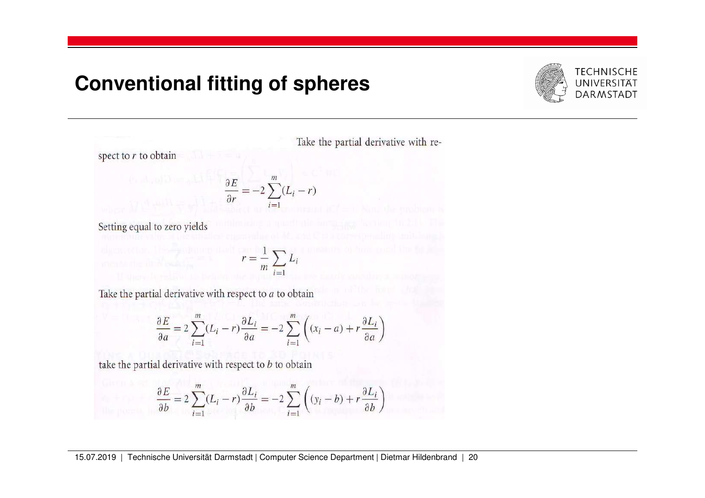

Take the partial derivative with re-

spect to  $r$  to obtain

$$
\frac{\partial E}{\partial r} = -2 \sum_{i=1}^{m} (L_i - r)
$$

Setting equal to zero yields

 $r = \frac{1}{m} \sum_{i=1} L_i$  $i=1$ 

Take the partial derivative with respect to  $a$  to obtain

$$
\frac{\partial E}{\partial a} = 2 \sum_{i=1}^{m} (L_i - r) \frac{\partial L_i}{\partial a} = -2 \sum_{i=1}^{m} \left( (x_i - a) + r \frac{\partial L_i}{\partial a} \right)
$$

take the partial derivative with respect to  $b$  to obtain

$$
\frac{\partial E}{\partial b} = 2 \sum_{i=1}^{m} (L_i - r) \frac{\partial L_i}{\partial b} = -2 \sum_{i=1}^{m} \left( (y_i - b) + r \frac{\partial L_i}{\partial b} \right)
$$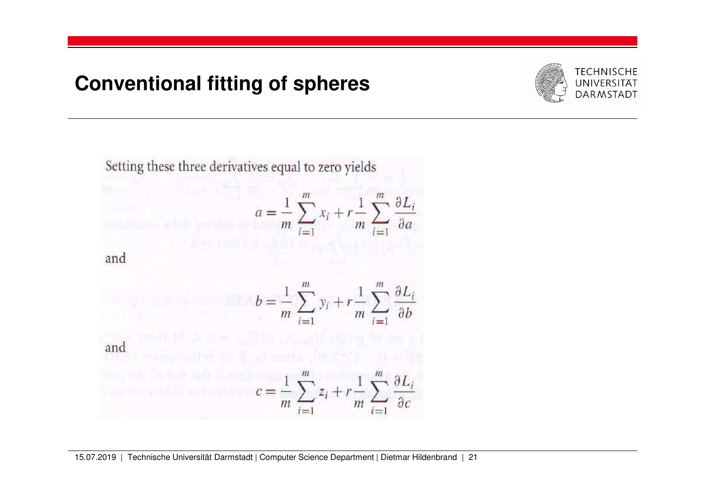

Setting these three derivatives equal to zero yields

$$
a = \frac{1}{m} \sum_{i=1}^{m} x_i + r \frac{1}{m} \sum_{i=1}^{m} \frac{\partial L_i}{\partial a}
$$

$$
b = \frac{1}{m} \sum_{i=1}^{m} y_i + r \frac{1}{m} \sum_{i=1}^{m} \frac{\partial L_i}{\partial b}
$$

and

$$
b = \frac{1}{m} \sum_{i=1}^{m} y_i + r \frac{1}{m} \sum_{i=1}^{m} \frac{\partial L_i}{\partial b}
$$
  
and  

$$
c = \frac{1}{m} \sum_{i=1}^{m} z_i + r \frac{1}{m} \sum_{i=1}^{m} \frac{\partial L_i}{\partial c}
$$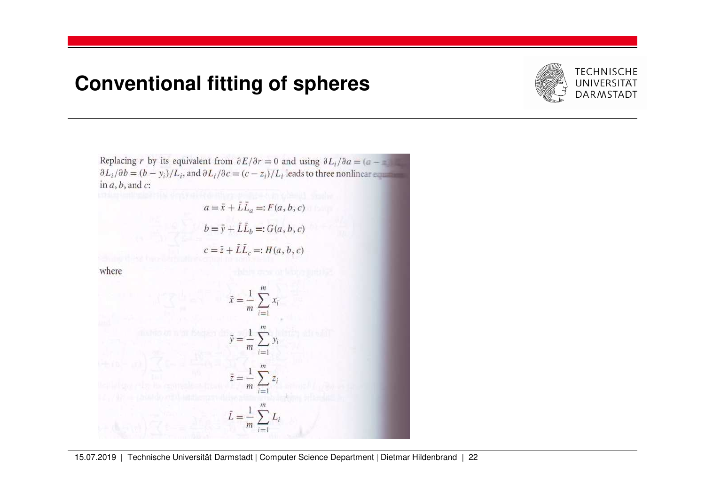

Replacing r by its equivalent from  $\partial E/\partial r = 0$  and using  $\partial L_i/\partial a = (a - \pi)^2$  $\partial L_i/\partial b = (b - y_i)/L_i$ , and  $\partial L_i/\partial c = (c - z_i)/L_i$  leads to three nonlinear equal in  $a, b$ , and  $c$ :

> $a = \bar{x} + \bar{L}\bar{L}_a =: F(a, b, c)$  $b = \bar{y} + \bar{L}\bar{L}_b =: G(a, b, c)$ <br>  $c = \bar{z} + \bar{L}\bar{L}_c =: H(a, b, c)$

where

$$
\bar{x} = \frac{1}{m} \sum_{i=1}^{m} x_i
$$
\n
$$
\bar{y} = \frac{1}{m} \sum_{i=1}^{m} y_i
$$
\n
$$
\bar{z} = \frac{1}{m} \sum_{i=1}^{m} z_i
$$
\n
$$
\bar{L} = \frac{1}{m} \sum_{i=1}^{m} L_i
$$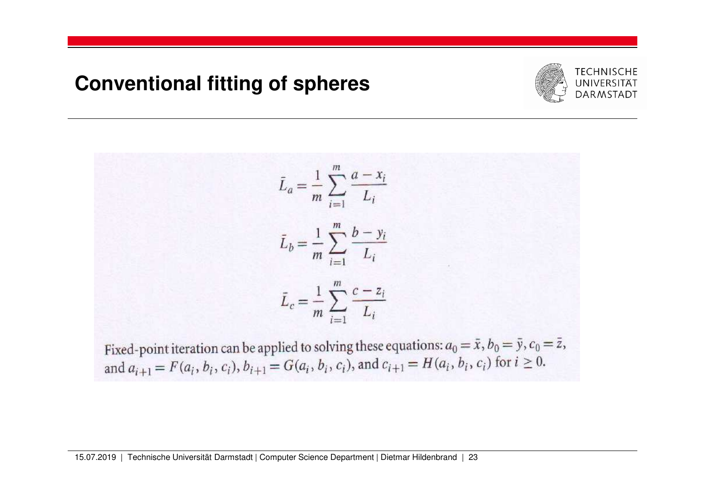

$$
\bar{L}_a = \frac{1}{m} \sum_{i=1}^m \frac{a - x_i}{L_i}
$$
\n
$$
\bar{L}_b = \frac{1}{m} \sum_{i=1}^m \frac{b - y_i}{L_i}
$$
\n
$$
\bar{L}_c = \frac{1}{m} \sum_{i=1}^m \frac{c - z_i}{L_i}
$$

Fixed-point iteration can be applied to solving these equations:  $a_0 = \bar{x}$ ,  $b_0 = \bar{y}$ ,  $c_0 = \bar{z}$ , and  $a_{i+1} = F(a_i, b_i, c_i)$ ,  $b_{i+1} = G(a_i, b_i, c_i)$ , and  $c_{i+1} = H(a_i, b_i, c_i)$  for  $i \ge 0$ .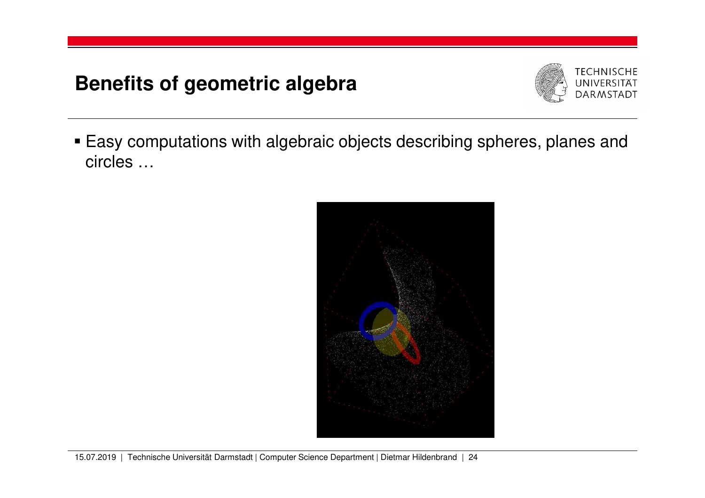# **Benefits of geometric algebra**



 Easy computations with algebraic objects describing spheres, planes and circles …

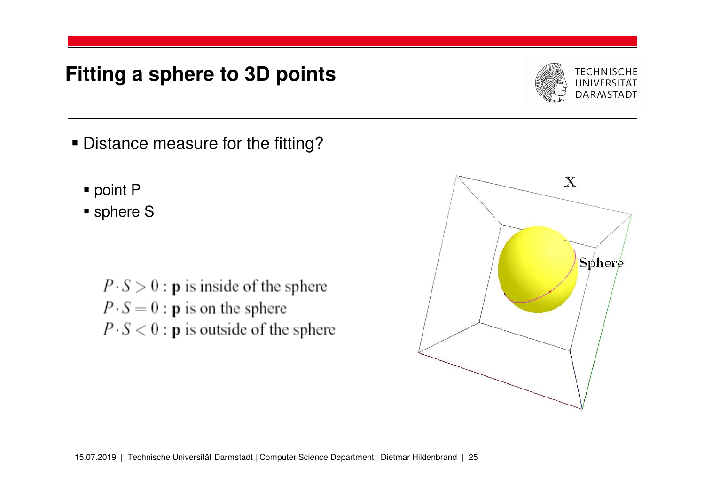- Distance measure for the fitting?
	- point P
	- sphere S

 $P \cdot S > 0$ : **p** is inside of the sphere  $P \cdot S = 0$ : **p** is on the sphere  $P \cdot S < 0$ : **p** is outside of the sphere



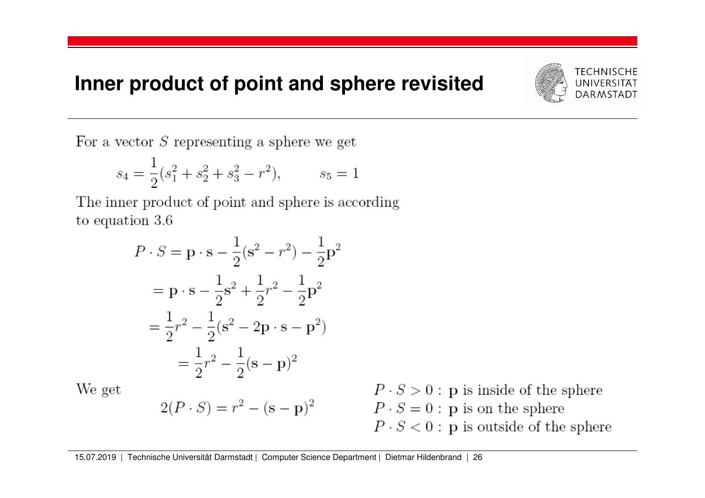#### **Inner product of point and sphere revisited**



For a vector  $S$  representing a sphere we get

$$
s_4 = \frac{1}{2}(s_1^2 + s_2^2 + s_3^2 - r^2), \qquad s_5 = 1
$$

The inner product of point and sphere is according to equation  $3.6$ 

$$
P \cdot S = \mathbf{p} \cdot \mathbf{s} - \frac{1}{2} (\mathbf{s}^2 - r^2) - \frac{1}{2} \mathbf{p}^2
$$
  
=  $\mathbf{p} \cdot \mathbf{s} - \frac{1}{2} \mathbf{s}^2 + \frac{1}{2} r^2 - \frac{1}{2} \mathbf{p}^2$   
=  $\frac{1}{2} r^2 - \frac{1}{2} (\mathbf{s}^2 - 2 \mathbf{p} \cdot \mathbf{s} - \mathbf{p}^2)$   
=  $\frac{1}{2} r^2 - \frac{1}{2} (\mathbf{s} - \mathbf{p})^2$ 

 $2(P \cdot S) = r^2 - (s - p)^2$ 

We get

$$
P \cdot S > 0
$$
: p is inside of the sphere  
 $P \cdot S = 0$ : p is on the sphere  
 $P \cdot S < 0$ : p is outside of the sphere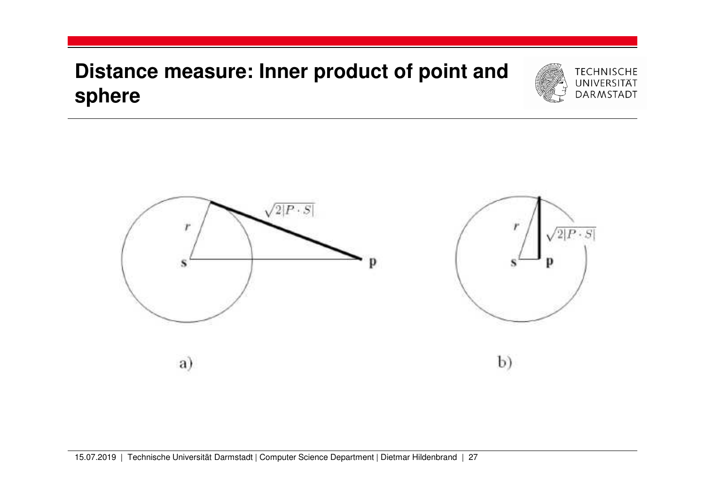# **Distance measure: Inner product of point and sphere**



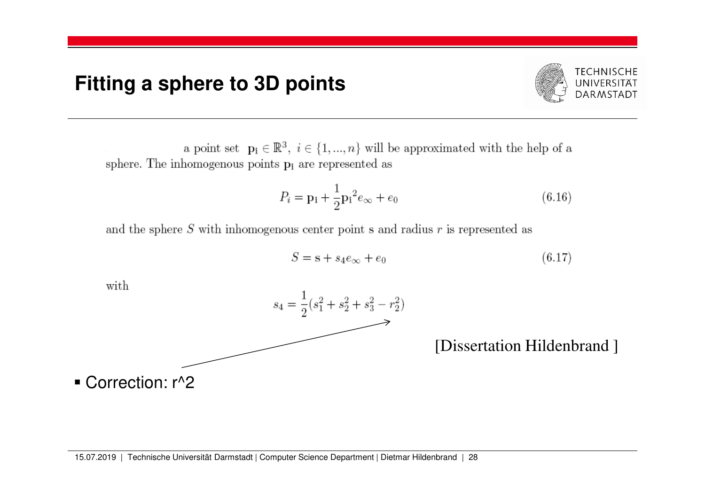

a point set  $\mathbf{p_i} \in \mathbb{R}^3$ ,  $i \in \{1, ..., n\}$  will be approximated with the help of a sphere. The inhomogenous points  $p_i$  are represented as

$$
P_i = \mathbf{p_i} + \frac{1}{2} \mathbf{p_i}^2 e_{\infty} + e_0 \tag{6.16}
$$

and the sphere  $S$  with inhomogenous center point  $s$  and radius  $r$  is represented as

$$
S = \mathbf{s} + s_4 e_\infty + e_0 \tag{6.17}
$$

with



[Dissertation Hildenbrand ]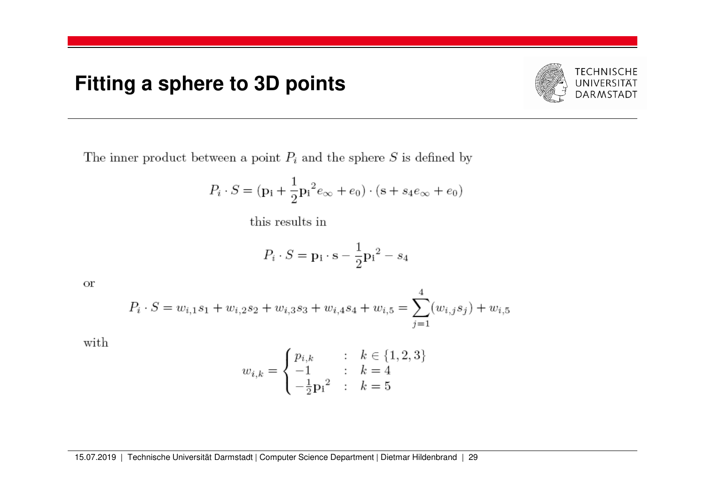

The inner product between a point  $P_i$  and the sphere S is defined by

$$
P_i \cdot S = (\mathbf{p}_i + \frac{1}{2} {\mathbf{p}_i}^2 e_{\infty} + e_0) \cdot (\mathbf{s} + s_4 e_{\infty} + e_0)
$$

this results in

$$
P_i \cdot S = \mathbf{p}_i \cdot \mathbf{s} - \frac{1}{2} \mathbf{p}_i{}^2 - s_4
$$

**or** 

$$
P_i \cdot S = w_{i,1} s_1 + w_{i,2} s_2 + w_{i,3} s_3 + w_{i,4} s_4 + w_{i,5} = \sum_{j=1}^{4} (w_{i,j} s_j) + w_{i,5}
$$

with

$$
w_{i,k} = \begin{cases} p_{i,k} & : & k \in \{1,2,3\} \\ -1 & : & k = 4 \\ -\frac{1}{2} p_1{}^2 & : & k = 5 \end{cases}
$$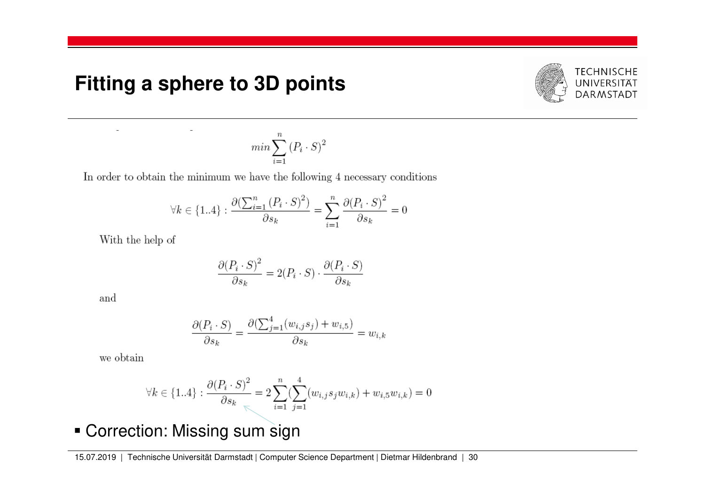$\overline{a}$ 



$$
min \sum_{i=1}^{n} (P_i \cdot S)^2
$$

In order to obtain the minimum we have the following 4 necessary conditions

$$
\forall k \in \{1..4\}: \frac{\partial (\sum_{i=1}^n {(P_i \cdot S)}^2)}{\partial s_k} = \sum_{i=1}^n \frac{\partial {(P_i \cdot S)}^2}{\partial s_k} = 0
$$

With the help of

$$
\frac{\partial (P_i \cdot S)^2}{\partial s_k} = 2(P_i \cdot S) \cdot \frac{\partial (P_i \cdot S)}{\partial s_k}
$$

and

$$
\frac{\partial (P_i \cdot S)}{\partial s_k} = \frac{\partial (\sum_{j=1}^4 (w_{i,j} s_j) + w_{i,5})}{\partial s_k} = w_{i,k}
$$

we obtain

$$
\forall k \in \{1..4\} : \frac{\partial (P_i \cdot S)^2}{\partial s_k} = 2 \sum_{i=1}^n \left( \sum_{j=1}^4 (w_{i,j} s_j w_{i,k}) + w_{i,5} w_{i,k} \right) = 0
$$

Correction: Missing sum sign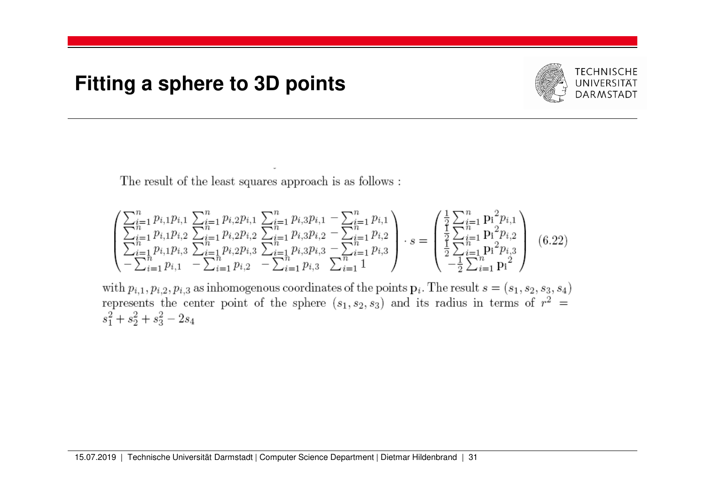

The result of the least squares approach is as follows:

$$
\begin{pmatrix}\n\sum_{i=1}^{n} p_{i,1}p_{i,1} & \sum_{i=1}^{n} p_{i,2}p_{i,1} & \sum_{i=1}^{n} p_{i,3}p_{i,1} - \sum_{i=1}^{n} p_{i,1} \\
\sum_{i=1}^{n} p_{i,1}p_{i,2} & \sum_{i=1}^{n} p_{i,2}p_{i,2} & \sum_{i=1}^{n} p_{i,3}p_{i,2} - \sum_{i=1}^{n} p_{i,2} \\
\sum_{i=1}^{n} p_{i,1}p_{i,3} & \sum_{i=1}^{n} p_{i,2}p_{i,3} & \sum_{i=1}^{n} p_{i,3}p_{i,3} - \sum_{i=1}^{n} p_{i,3} \\
-\sum_{i=1}^{n} p_{i,1} & - \sum_{i=1}^{n} p_{i,2} - \sum_{i=1}^{n} p_{i,3} & \sum_{i=1}^{n} p_{i,3} \sum_{i=1}^{n} 1\n\end{pmatrix} \cdot s = \begin{pmatrix}\n\frac{1}{2} \sum_{i=1}^{n} \mathbf{p}_{i}^{2} p_{i,1} \\
\frac{1}{2} \sum_{i=1}^{n} \mathbf{p}_{i}^{2} p_{i,2} \\
\frac{1}{2} \sum_{i=1}^{n} \mathbf{p}_{i}^{2} p_{i,2} \\
\frac{1}{2} \sum_{i=1}^{n} \mathbf{p}_{i}^{2} p_{i,3} \\
-\frac{1}{2} \sum_{i=1}^{n} \mathbf{p}_{i}^{2}\n\end{pmatrix} (6.22)
$$

with  $p_{i,1}, p_{i,2}, p_{i,3}$  as inhomogenous coordinates of the points  $\mathbf{p}_i$ . The result  $s = (s_1, s_2, s_3, s_4)$  represents the center point of the sphere  $(s_1, s_2, s_3)$  and its radius in terms of  $r^2 =$  $s_1^2 + s_2^2 + s_3^2 - 2s_4$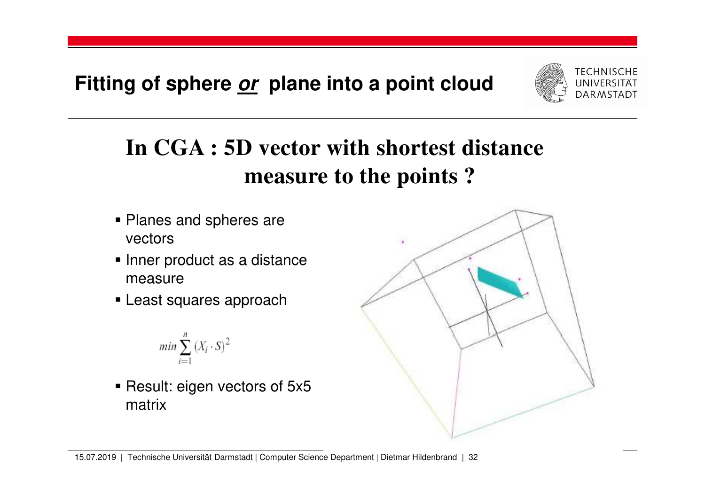**Fitting of sphere or plane into a point cloud**



# **In CGA : 5D vector with shortest distance measure to the points ?**

- **Planes and spheres are** vectors
- $\blacksquare$  Inner product as a distance measure
- **Least squares approach**

$$
min \sum_{i=1}^{n} (X_i \cdot S)^2
$$

■ Result: eigen vectors of 5x5 matrix



<sup>15.07.2019</sup> | Technische Universität Darmstadt | Computer Science Department | Dietmar Hildenbrand | 32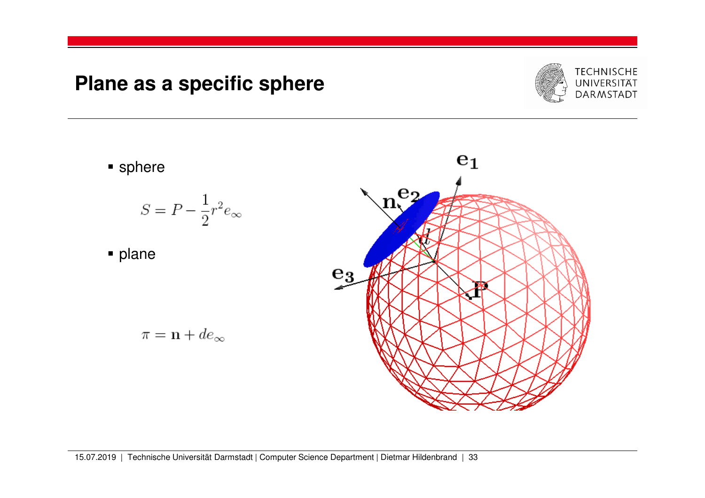## **Plane as a specific sphere**



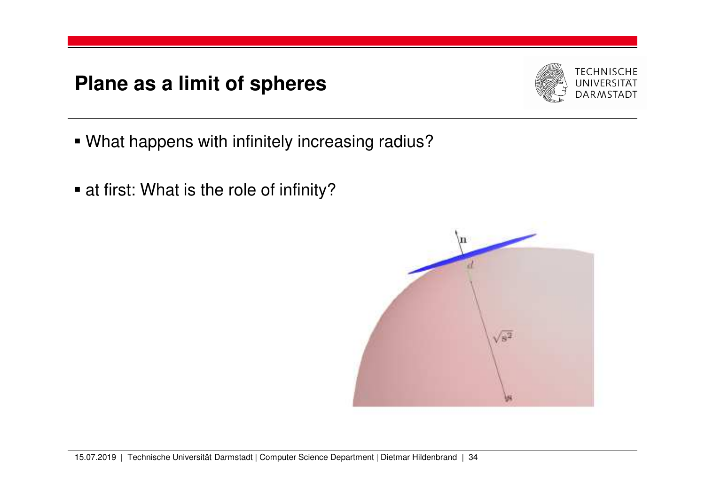# **Plane as a limit of spheres**



- What happens with infinitely increasing radius?
- at first: What is the role of infinity?

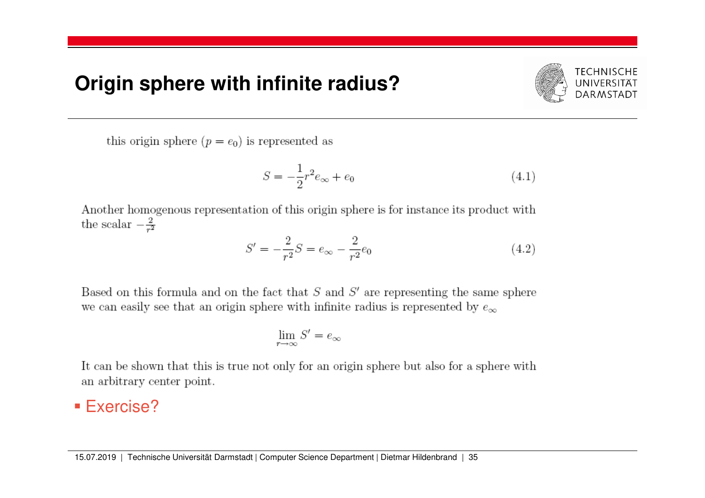#### **Origin sphere with infinite radius?**



this origin sphere  $(p = e_0)$  is represented as

$$
S = -\frac{1}{2}r^2 e_{\infty} + e_0 \tag{4.1}
$$

Another homogenous representation of this origin sphere is for instance its product with the scalar  $-\frac{2}{r^2}$ 

$$
S' = -\frac{2}{r^2}S = e_{\infty} - \frac{2}{r^2}e_0
$$
\n(4.2)

Based on this formula and on the fact that  $S$  and  $S'$  are representing the same sphere we can easily see that an origin sphere with infinite radius is represented by  $e_{\infty}$ 

$$
\lim_{r\to\infty}S'=e_\infty
$$

It can be shown that this is true not only for an origin sphere but also for a sphere with an arbitrary center point.

# ■ Exercise?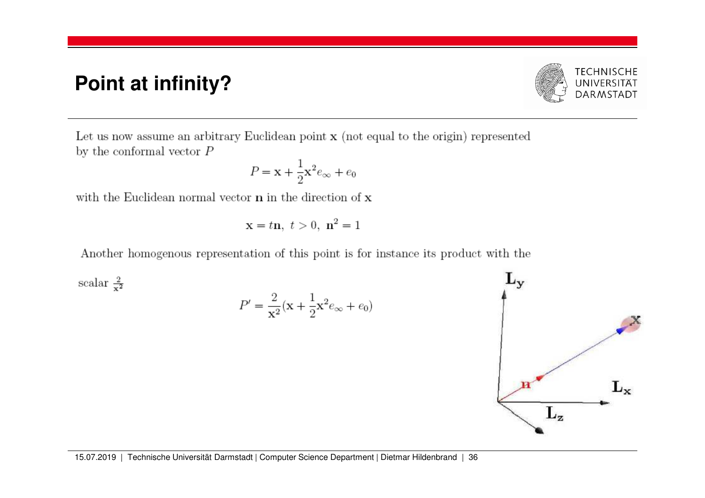## **Point at infinity?**



Let us now assume an arbitrary Euclidean point  $x$  (not equal to the origin) represented by the conformal vector  ${\cal P}$ 

$$
P = \mathbf{x} + \frac{1}{2}\mathbf{x}^2 e_\infty + e_0
$$

with the Euclidean normal vector  $\bf{n}$  in the direction of  $\bf{x}$ 

$$
x = t\mathbf{n}, t > 0, \mathbf{n}^2 = 1
$$

Another homogenous representation of this point is for instance its product with the

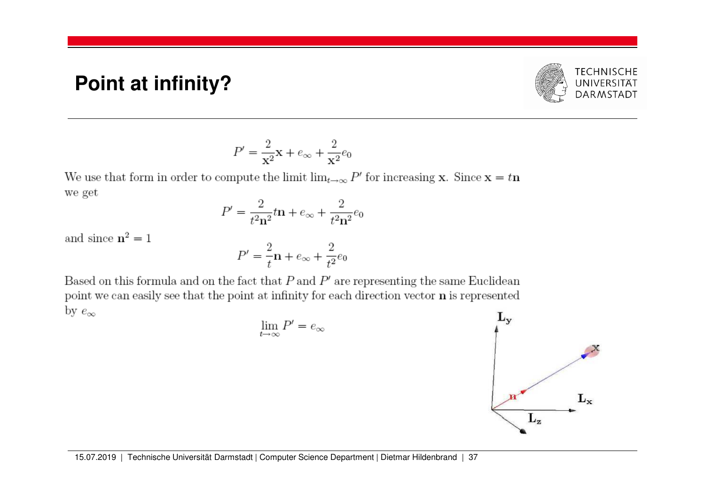#### **Point at infinity?**



$$
P' = \frac{2}{\mathbf{x}^2} \mathbf{x} + e_\infty + \frac{2}{\mathbf{x}^2} e_0
$$

We use that form in order to compute the limit  $\lim_{t\to\infty} P'$  for increasing **x**. Since **x** = t**n** we get

$$
P' = \frac{2}{t^2 n^2} t n + e_{\infty} + \frac{2}{t^2 n^2} e_0
$$

and since  $\mathbf{n}^2=1$ 

 $P' = \frac{2}{t}\mathbf{n} + e_{\infty} + \frac{2}{t^2}e_0$ 

Based on this formula and on the fact that  $P$  and  $P'$  are representing the same Euclidean point we can easily see that the point at infinity for each direction vector **n** is represented by  $e_{\infty}$ 

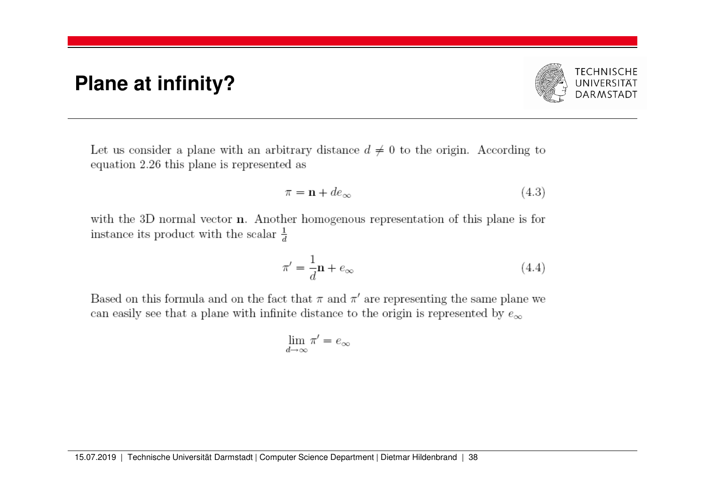#### **Plane at infinity?**



Let us consider a plane with an arbitrary distance  $d \neq 0$  to the origin. According to equation 2.26 this plane is represented as

$$
\pi = \mathbf{n} + de_{\infty} \tag{4.3}
$$

with the 3D normal vector  $\bf{n}$ . Another homogenous representation of this plane is for instance its product with the scalar  $\frac{1}{d}$ 

$$
\pi' = \frac{1}{d}\mathbf{n} + e_{\infty} \tag{4.4}
$$

Based on this formula and on the fact that  $\pi$  and  $\pi'$  are representing the same plane we can easily see that a plane with infinite distance to the origin is represented by  $e_\infty$ 

$$
\lim_{d\to\infty}\pi'=e_\infty
$$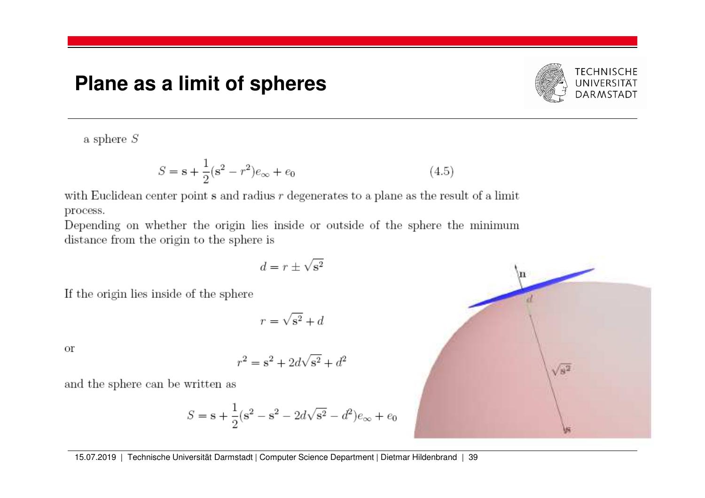#### **Plane as a limit of spheres**



a sphere  $S$ 

$$
S = \mathbf{s} + \frac{1}{2}(\mathbf{s}^2 - r^2)e_{\infty} + e_0
$$
\n(4.5)

with Euclidean center point s and radius  $r$  degenerates to a plane as the result of a limit process.

Depending on whether the origin lies inside or outside of the sphere the minimum distance from the origin to the sphere is

$$
d=r\pm\sqrt{{\bf s}^2}
$$

If the origin lies inside of the sphere

$$
r = \sqrt{s^2 + d}
$$

**or** 

$$
r^2 = s^2 + 2d\sqrt{s^2} + d^2
$$

and the sphere can be written as

$$
S = \mathbf{s} + \frac{1}{2}(\mathbf{s}^2 - \mathbf{s}^2 - 2d\sqrt{\mathbf{s}^2} - d^2)e_\infty + e_0
$$

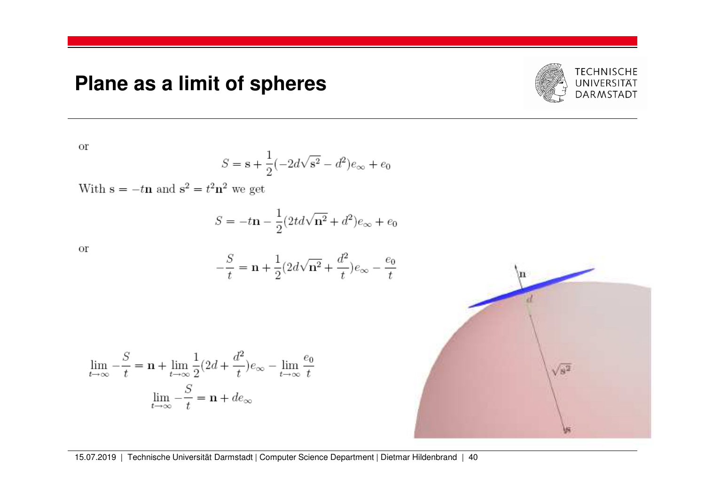# **Plane as a limit of spheres**



**or** 

$$
S=\mathbf{s}+\frac{1}{2}(-2d\sqrt{\mathbf{s}^2}-d^2)e_\infty+e_0
$$

With  $\mathbf{s} = -t\mathbf{n}$  and  $\mathbf{s}^2 = t^2\mathbf{n}^2$  we get

$$
S = -t\mathbf{n} - \frac{1}{2}(2td\sqrt{\mathbf{n}^2} + d^2)e_{\infty} + e_0
$$

or

$$
-\frac{S}{t}=\mathbf{n}+\frac{1}{2}(2d\sqrt{\mathbf{n}^2}+\frac{d^2}{t})e_\infty-\frac{e_0}{t}
$$

$$
\lim_{t \to \infty} -\frac{S}{t} = \mathbf{n} + \lim_{t \to \infty} \frac{1}{2} (2d + \frac{d^2}{t}) e_{\infty} - \lim_{t \to \infty} \frac{e_0}{t}
$$

$$
\lim_{t \to \infty} -\frac{S}{t} = \mathbf{n} + de_{\infty}
$$

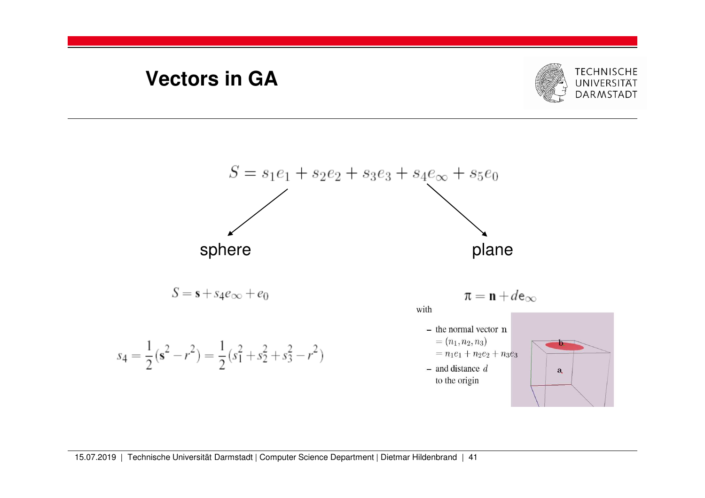# **Vectors in GA**



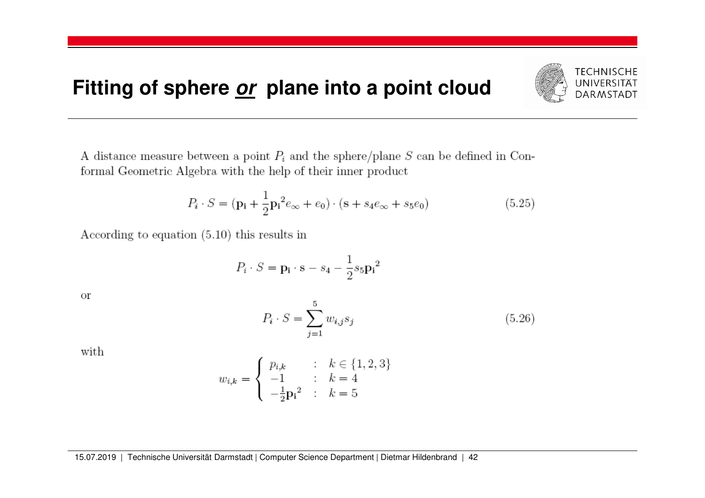# **Fitting of sphere or plane into a point cloud**

**TECHNISCHE** UNIVERSITÄT **DARMSTADT** 

A distance measure between a point  $P_i$  and the sphere/plane S can be defined in Conformal Geometric Algebra with the help of their inner product

$$
P_i \cdot S = (\mathbf{p_i} + \frac{1}{2}\mathbf{p_i}^2 e_{\infty} + e_0) \cdot (\mathbf{s} + s_4 e_{\infty} + s_5 e_0)
$$
(5.25)

According to equation  $(5.10)$  this results in

$$
P_i \cdot S = \mathbf{p_i} \cdot \mathbf{s} - s_4 - \frac{1}{2} s_5 \mathbf{p_i}^2
$$

**or** 

$$
P_i \cdot S = \sum_{j=1}^{5} w_{i,j} s_j \tag{5.26}
$$

with

$$
w_{i,k} = \begin{cases} p_{i,k} & : k \in \{1, 2, 3\} \\ -1 & : k = 4 \\ -\frac{1}{2} p_i^2 & : k = 5 \end{cases}
$$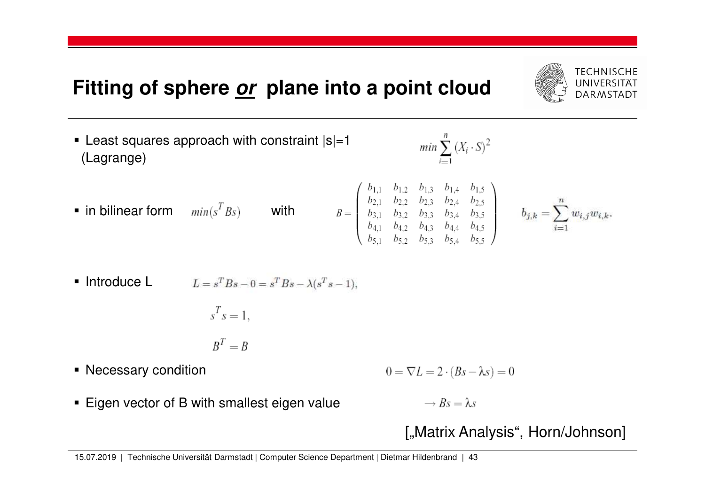# **Fitting of sphere or plane into a point cloud**

- Least squares approach with constraint |s|=1(Lagrange)
- **•** in bilinear form  $min(s<sup>T</sup> Bs)$  with

$$
B = \begin{pmatrix} b_{1,1} & b_{1,2} & b_{1,3} & b_{1,4} & b_{1,5} \\ b_{2,1} & b_{2,2} & b_{2,3} & b_{2,4} & b_{2,5} \\ b_{3,1} & b_{3,2} & b_{3,3} & b_{3,4} & b_{3,5} \\ b_{4,1} & b_{4,2} & b_{4,3} & b_{4,4} & b_{4,5} \\ b_{5,1} & b_{5,2} & b_{5,3} & b_{5,4} & b_{5,5} \end{pmatrix}
$$
 b

$$
b_{j,k} = \sum_{i=1}^n w_{i,j} w_{i,k}.
$$

• Introduce L 
$$
L = s^T B s - 0 = s^T B s - \lambda (s^T s - 1),
$$

$$
s^T s = 1,
$$

$$
B^T=B
$$

■ Necessary condition

 $0 = \nabla L = 2 \cdot (Bs - \lambda s) = 0$ 

 $min \sum_{i=1}^{n} (X_i \cdot S)^2$ 

 $\textcolor{red}{\bullet}$  Eigen vector of B with smallest eigen value

 $\rightarrow$  Bs =  $\lambda$ s

["Matrix Analysis", Horn/Johnson]

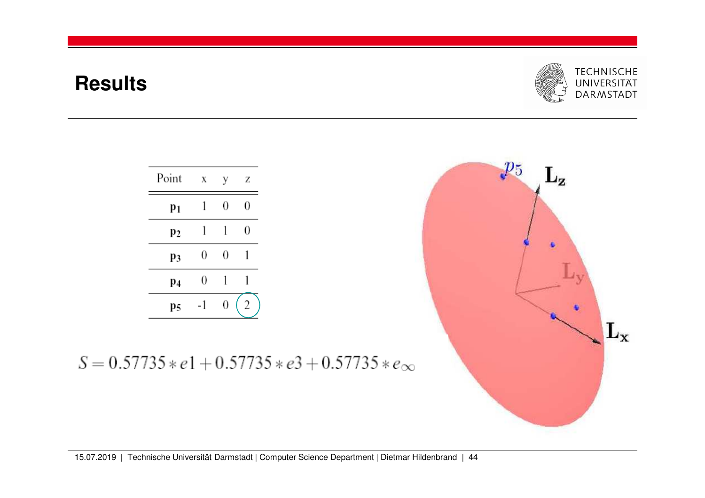# **Results**



| Point          | Χ  | у | Ζ |
|----------------|----|---|---|
| p <sub>1</sub> |    | 0 | 0 |
| p2             | 1  | 1 | 0 |
| p3             | 0  | 0 |   |
| p4             | 0  |   |   |
| p5             | -1 | 0 |   |

 $S = 0.57735 * e1 + 0.57735 * e3 + 0.57735 * e_{\infty}$ 

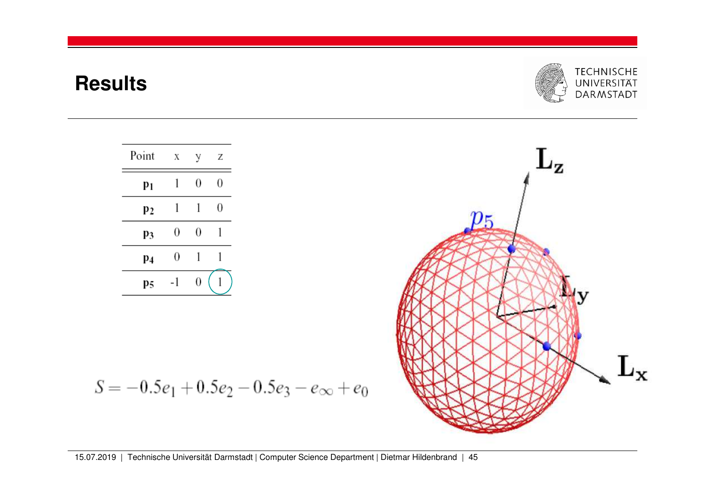## **Results**







$$
S = -0.5e_1 + 0.5e_2 - 0.5e_3 - e_{\infty} + e_0
$$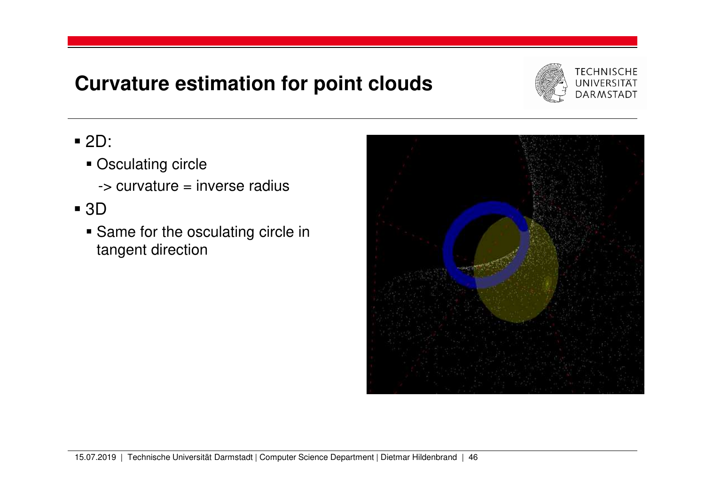# **Curvature estimation for point clouds**



- 2D:
	- **Disculating circle** 
		- -> curvature = inverse radius
- 3D
	- **Same for the osculating circle in** tangent direction

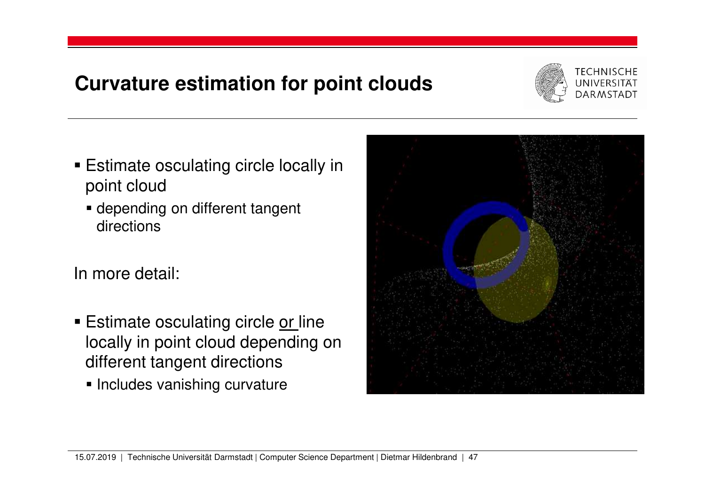# **Curvature estimation for point clouds**



- Estimate osculating circle locally in point cloud
	- depending on different tangent directions

In more detail:

- Estimate osculating circle <u>or l</u>ine locally in point cloud depending on different tangent directions
	- **Includes vanishing curvature**

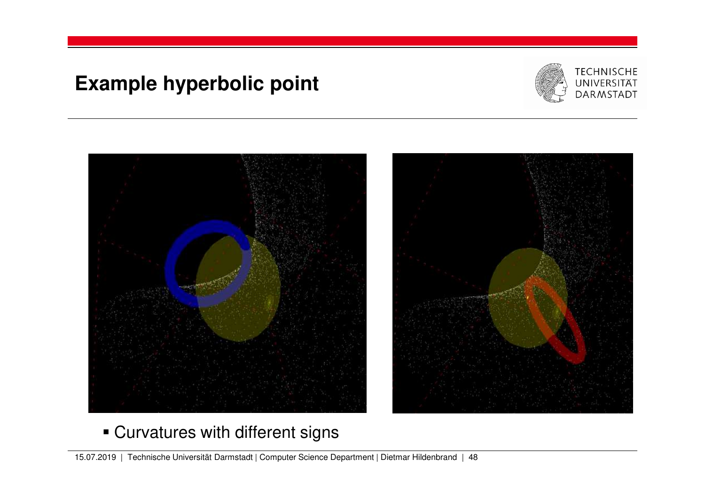# **Example hyperbolic point**





# Curvatures with different signs

15.07.2019 | Technische Universität Darmstadt | Computer Science Department | Dietmar Hildenbrand | 48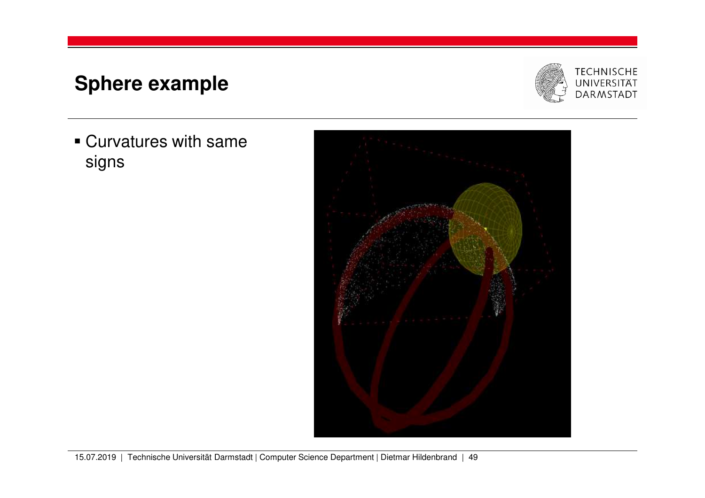# **Sphere example**

**Curvatures with same** signs



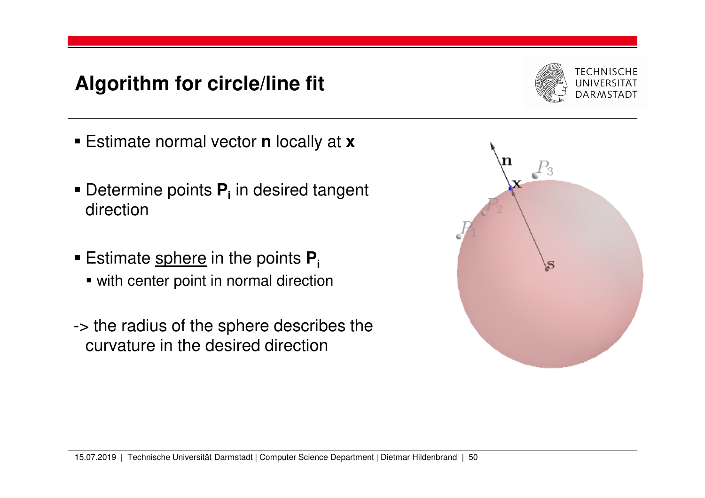# **Algorithm for circle/line fit**



- Estimate normal vector **<sup>n</sup>** locally at **<sup>x</sup>**
- Determine points **P<sup>i</sup>** in desired tangent direction
- Estimate sphere in the points **P<sup>i</sup>**
	- with center point in normal direction
- -> the radius of the sphere describes the curvature in the desired direction

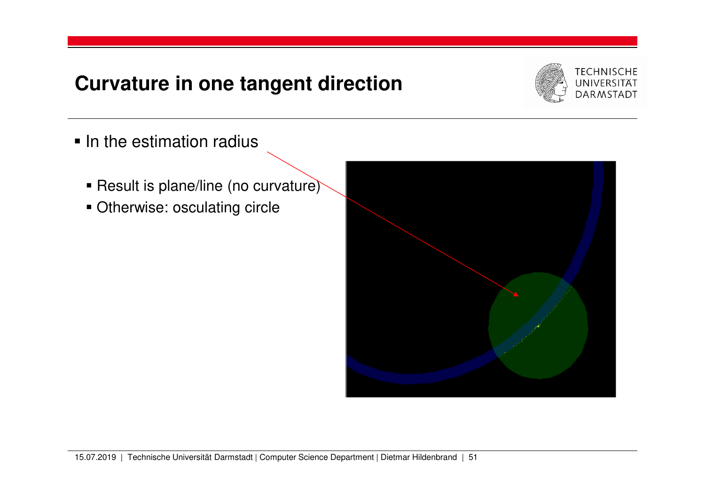## **Curvature in one tangent direction**



- $\blacksquare$  In the estimation radius
	- Result is plane/line (no curvature)
	- **Otherwise: osculating circle**

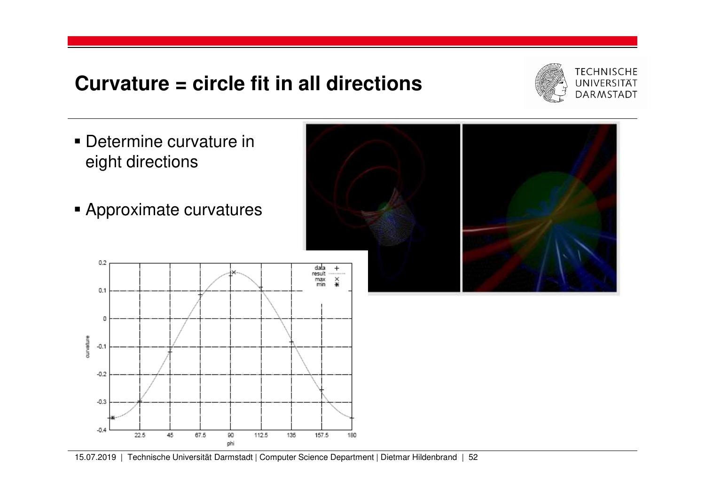## **Curvature = circle fit in all directions**



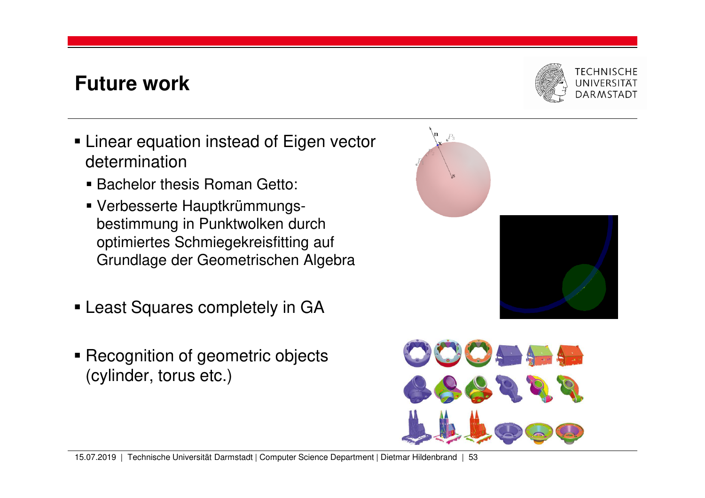# **Future work**

- Linear equation instead of Eigen vector determination
	- Bachelor thesis Roman Getto:
	- Verbesserte Hauptkrümmungsbestimmung in Punktwolken durch optimiertes Schmiegekreisfitting auf Grundlage der Geometrischen Algebra
- Least Squares completely in GA
- Recognition of geometric objects (cylinder, torus etc.)